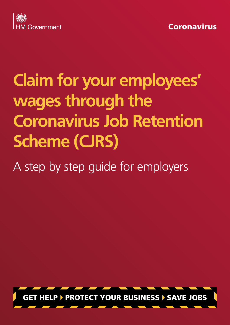



# **Claim for your employees' wages through the Coronavirus Job Retention Scheme (CJRS)**

A step by step guide for employers

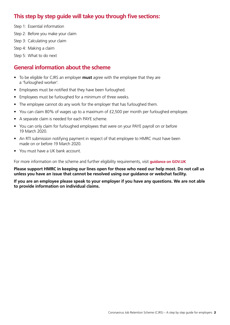# **This step by step guide will take you through five sections:**

Step 1: Essential information Step 2: Before you make your claim Step 3: Calculating your claim Step 4: Making a claim

Step 5: What to do next

# **General information about the scheme**

- To be eligible for CJRS an employer **must** agree with the employee that they are a 'furloughed worker'.
- Employees must be notified that they have been furloughed.
- Employees must be furloughed for a minimum of three weeks.
- The employee cannot do any work for the employer that has furloughed them.
- You can claim 80% of wages up to a maximum of £2,500 per month per furloughed employee.
- A separate claim is needed for each PAYE scheme.
- You can only claim for furloughed employees that were on your PAYE payroll on or before 19 March 2020.
- An RTI submission notifying payment in respect of that employee to HMRC must have been made on or before 19 March 2020.
- You must have a UK bank account.

For more information on the scheme and further eligibility requirements, visit **[guidance on GOV.UK](https://www.gov.uk/guidance/claim-for-wage-costs-through-the-coronavirus-job-retention-scheme)**

**Please support HMRC in keeping our lines open for those who need our help most. Do not call us unless you have an issue that cannot be resolved using our guidance or webchat facility.**

**If you are an employee please speak to your employer if you have any questions. We are not able to provide information on individual claims.**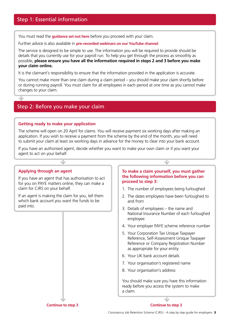You must read the **[guidance set out here](https://www.gov.uk/guidance/claim-for-wage-costs-through-the-coronavirus-job-retention-scheme)** before you proceed with your claim.

Further advice is also available in **[pre-recorded webinars on our YouTube channel](https://www.youtube.com/user/hmrcgovuk)**.

The service is designed to be simple to use. The information you will be required to provide should be details that you currently use for your payroll run. To help you get through the process as smoothly as possible, **please ensure you have all the information required in steps 2 and 3 before you make your claim online.**

It is the claimant's responsibility to ensure that the information provided in the application is accurate.

You cannot make more than one claim during a claim period – you should make your claim shortly before or during running payroll. You must claim for all employees in each period at one time as you cannot make changes to your claim.

### Step 2: Before you make your claim

#### **Getting ready to make your application**

The scheme will open on 20 April for claims. You will receive payment six working days after making an application. If you wish to receive a payment from the scheme by the end of the month, you will need to submit your claim at least six working days in advance for the money to clear into your bank account.

If you have an authorised agent, decide whether you want to make your own claim or if you want your agent to act on your behalf.

#### **Applying through an agent**

 $\overline{\mathbf{v}}$ 

If you have an agent that has authorisation to act for you on PAYE matters online, they can make a claim for CJRS on your behalf.

If an agent is making the claim for you, tell them which bank account you want the funds to be paid into.

#### **To make a claim yourself, you must gather the following information before you can proceed to step 3:**

- 1. The number of employees being furloughed
- 2. The dates employees have been furloughed to and from
- 3. Details of employees the name and National Insurance Number of each furloughed employee
- 4. Your employer PAYE scheme reference number
- 5. Your Corporation Tax Unique Taxpayer Reference, Self-Assessment Unique Taxpayer Reference or Company Registration Number as appropriate for your entity
- 6. Your UK bank account details
- 7. Your organisation's registered name
- 8. Your organisation's address

You should make sure you have this information ready before you access the system to make a claim.

**Continue to step 3**

**Continue to step 3**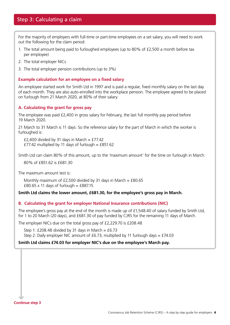For the majority of employers with full-time or part-time employees on a set salary, you will need to work out the following for the claim period:

- 1. The total amount being paid to furloughed employees (up to 80% of £2,500 a month before tax per employee)
- 2. The total employer NICs
- 3. The total employer pension contributions (up to 3%)

#### **Example calculation for an employee on a fixed salary**

An employee started work for Smith Ltd in 1997 and is paid a regular, fixed monthly salary on the last day of each month. They are also auto-enrolled into the workplace pension. The employee agreed to be placed on furlough from 21 March 2020, at 80% of their salary.

#### **A. Calculating the grant for gross pay**

The employee was paid £2,400 in gross salary for February, the last full monthly pay period before 19 March 2020.

21 March to 31 March is 11 days. So the reference salary for the part of March in which the worker is furloughed is:

£2,400 divided by 31 days in March =  $£77.42$ £77.42 multiplied by 11 days of furlough = £851.62

Smith Ltd can claim 80% of this amount, up to the 'maximum amount' for the time on furlough in March:

80% of £851.62 is £681.30

The maximum amount test is:

Monthly maximum of £2,500 divided by 31 days in March =  $£80.65$ £80.65 x 11 days of furlough = £887.15

#### **Smith Ltd claims the lower amount, £681.30, for the employee's gross pay in March.**

#### **B. Calculating the grant for employer National Insurance contributions (NIC)**

The employee's gross pay at the end of the month is made up of £1,548.40 of salary funded by Smith Ltd, for 1 to 20 March (20 days), and £681.30 of pay funded by CJRS for the remaining 11 days of March.

The employer NICs due on the total gross pay of £2,229.70 is £208.48

Step 1: £208.48 divided by 31 days in March =  $£6.73$ 

Step 2: Daily employer NIC amount of £6.73, multiplied by 11 furlough days =  $£74.03$ 

#### **Smith Ltd claims £74.03 for employer NIC's due on the employee's March pay.**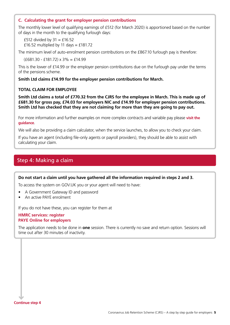#### **C. Calculating the grant for employer pension contributions**

The monthly lower level of qualifying earnings of £512 (for March 2020) is apportioned based on the number of days in the month to the qualifying furlough days:

£512 divided by  $31 = £16.52$ £16.52 multiplied by 11 days = £181.72

The minimum level of auto-enrolment pension contributions on the £867.10 furlough pay is therefore:

 $(£681.30 - £181.72) \times 3\% = £14.99$ 

This is the lower of £14.99 or the employer pension contributions due on the furlough pay under the terms of the pensions scheme.

**Smith Ltd claims £14.99 for the employer pension contributions for March.**

#### **TOTAL CLAIM FOR EMPLOYEE**

**Smith Ltd claims a total of £770.32 from the CJRS for the employee in March. This is made up of £681.30 for gross pay, £74.03 for employers NIC and £14.99 for employer pension contributions. Smith Ltd has checked that they are not claiming for more than they are going to pay out.**

For more information and further examples on more complex contracts and variable pay please **[visit the](https://www.gov.uk/guidance/work-out-80-of-your-employees-wages-to-claim-through-the-coronavirus-job-retention-scheme)  [guidance](https://www.gov.uk/guidance/work-out-80-of-your-employees-wages-to-claim-through-the-coronavirus-job-retention-scheme)**.

We will also be providing a claim calculator, when the service launches, to allow you to check your claim.

If you have an agent (including file-only agents or payroll providers), they should be able to assist with calculating your claim.

## Step 4: Making a claim

**Do not start a claim until you have gathered all the information required in steps 2 and 3.**

To access the system on GOV.UK you or your agent will need to have:

- A Government Gateway ID and password
- An active PAYE enrolment

If you do not have these, you can register for them at

#### **[HMRC services: register](https://www.gov.uk/log-in-register-hmrc-online-services/register) [PAYE Online for employers](https://www.gov.uk/paye-online/enrol)**

The application needs to be done in **one** session. There is currently no save and return option. Sessions will time out after 30 minutes of inactivity.

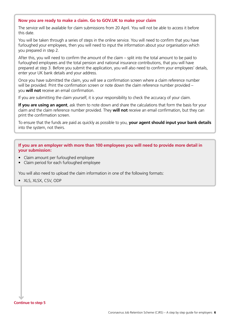#### **Now you are ready to make a claim. Go to GOV.UK to make your claim**

The service will be available for claim submissions from 20 April. You will not be able to access it before this date.

You will be taken through a series of steps in the online service. You will need to confirm that you have furloughed your employees, then you will need to input the information about your organisation which you prepared in step 2.

After this, you will need to confirm the amount of the claim – split into the total amount to be paid to furloughed employees and the total pension and national insurance contributions, that you will have prepared at step 3. Before you submit the application, you will also need to confirm your employees' details, enter your UK bank details and your address.

Once you have submitted the claim, you will see a confirmation screen where a claim reference number will be provided. Print the confirmation screen or note down the claim reference number provided – you **will not** receive an email confirmation.

If you are submitting the claim yourself, it is your responsibility to check the accuracy of your claim.

**If you are using an agent**, ask them to note down and share the calculations that form the basis for your claim and the claim reference number provided. They **will not** receive an email confirmation, but they can print the confirmation screen.

To ensure that the funds are paid as quickly as possible to you, **your agent should input your bank details** into the system, not theirs.

**If you are an employer with more than 100 employees you will need to provide more detail in your submission:**

- Claim amount per furloughed employee
- Claim period for each furloughed employee

You will also need to upload the claim information in one of the following formats:

• XLS, XLSX, CSV, ODP